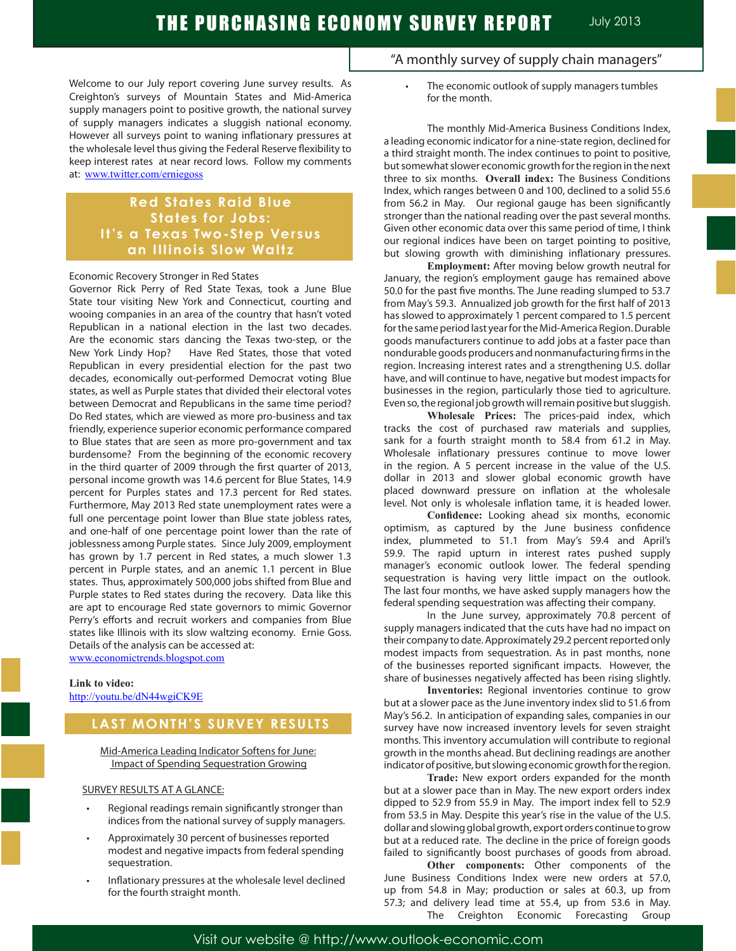Welcome to our July report covering June survey results. As Creighton's surveys of Mountain States and Mid-America supply managers point to positive growth, the national survey of supply managers indicates a sluggish national economy. However all surveys point to waning inflationary pressures at the wholesale level thus giving the Federal Reserve flexibility to keep interest rates at near record lows. Follow my comments at: www.twitter.com/erniegoss

# **Red States Raid Blue States for Jobs: It's a Texas Two-Step Versus an Illinois Slow Waltz**

# Economic Recovery Stronger in Red States

Governor Rick Perry of Red State Texas, took a June Blue State tour visiting New York and Connecticut, courting and wooing companies in an area of the country that hasn't voted Republican in a national election in the last two decades. Are the economic stars dancing the Texas two-step, or the New York Lindy Hop? Have Red States, those that voted Republican in every presidential election for the past two decades, economically out-performed Democrat voting Blue states, as well as Purple states that divided their electoral votes between Democrat and Republicans in the same time period? Do Red states, which are viewed as more pro-business and tax friendly, experience superior economic performance compared to Blue states that are seen as more pro-government and tax burdensome? From the beginning of the economic recovery in the third quarter of 2009 through the first quarter of 2013, personal income growth was 14.6 percent for Blue States, 14.9 percent for Purples states and 17.3 percent for Red states. Furthermore, May 2013 Red state unemployment rates were a full one percentage point lower than Blue state jobless rates, and one-half of one percentage point lower than the rate of joblessness among Purple states. Since July 2009, employment has grown by 1.7 percent in Red states, a much slower 1.3 percent in Purple states, and an anemic 1.1 percent in Blue states. Thus, approximately 500,000 jobs shifted from Blue and Purple states to Red states during the recovery. Data like this are apt to encourage Red state governors to mimic Governor Perry's efforts and recruit workers and companies from Blue states like Illinois with its slow waltzing economy. Ernie Goss. Details of the analysis can be accessed at: www.economictrends.blogspot.com

### **Link to video:** http://youtu.be/dN44wgiCK9E

# **LAST MONTH'S SURVEY RESULTS**

Mid-America Leading Indicator Softens for June: Impact of Spending Sequestration Growing

### SURVEY RESULTS AT A GLANCE:

- Regional readings remain significantly stronger than indices from the national survey of supply managers.
- Approximately 30 percent of businesses reported modest and negative impacts from federal spending sequestration.
- Inflationary pressures at the wholesale level declined for the fourth straight month.
- "A monthly survey of supply chain managers"
	- The economic outlook of supply managers tumbles for the month.

The monthly Mid-America Business Conditions Index, a leading economic indicator for a nine-state region, declined for a third straight month. The index continues to point to positive, but somewhat slower economic growth for the region in the next three to six months. **Overall index:** The Business Conditions Index, which ranges between 0 and 100, declined to a solid 55.6 from 56.2 in May. Our regional gauge has been significantly stronger than the national reading over the past several months. Given other economic data over this same period of time, I think our regional indices have been on target pointing to positive, but slowing growth with diminishing inflationary pressures.

**Employment:** After moving below growth neutral for January, the region's employment gauge has remained above 50.0 for the past five months. The June reading slumped to 53.7 from May's 59.3. Annualized job growth for the first half of 2013 has slowed to approximately 1 percent compared to 1.5 percent for the same period last year for the Mid-America Region. Durable goods manufacturers continue to add jobs at a faster pace than nondurable goods producers and nonmanufacturing firms in the region. Increasing interest rates and a strengthening U.S. dollar have, and will continue to have, negative but modest impacts for businesses in the region, particularly those tied to agriculture. Even so, the regional job growth will remain positive but sluggish.

**Wholesale Prices:** The prices-paid index, which tracks the cost of purchased raw materials and supplies, sank for a fourth straight month to 58.4 from 61.2 in May. Wholesale inflationary pressures continue to move lower in the region. A 5 percent increase in the value of the U.S. dollar in 2013 and slower global economic growth have placed downward pressure on inflation at the wholesale level. Not only is wholesale inflation tame, it is headed lower.

**Confidence:** Looking ahead six months, economic optimism, as captured by the June business confidence index, plummeted to 51.1 from May's 59.4 and April's 59.9. The rapid upturn in interest rates pushed supply manager's economic outlook lower. The federal spending sequestration is having very little impact on the outlook. The last four months, we have asked supply managers how the federal spending sequestration was affecting their company.

In the June survey, approximately 70.8 percent of supply managers indicated that the cuts have had no impact on their company to date. Approximately 29.2 percent reported only modest impacts from sequestration. As in past months, none of the businesses reported significant impacts. However, the share of businesses negatively affected has been rising slightly.

**Inventories:** Regional inventories continue to grow but at a slower pace as the June inventory index slid to 51.6 from May's 56.2. In anticipation of expanding sales, companies in our survey have now increased inventory levels for seven straight months. This inventory accumulation will contribute to regional growth in the months ahead. But declining readings are another indicator of positive, but slowing economic growth for the region.

**Trade:** New export orders expanded for the month but at a slower pace than in May. The new export orders index dipped to 52.9 from 55.9 in May. The import index fell to 52.9 from 53.5 in May. Despite this year's rise in the value of the U.S. dollar and slowing global growth, export orders continue to grow but at a reduced rate. The decline in the price of foreign goods failed to significantly boost purchases of goods from abroad.

**Other components:** Other components of the June Business Conditions Index were new orders at 57.0, up from 54.8 in May; production or sales at 60.3, up from 57.3; and delivery lead time at 55.4, up from 53.6 in May. The Creighton Economic Forecasting Group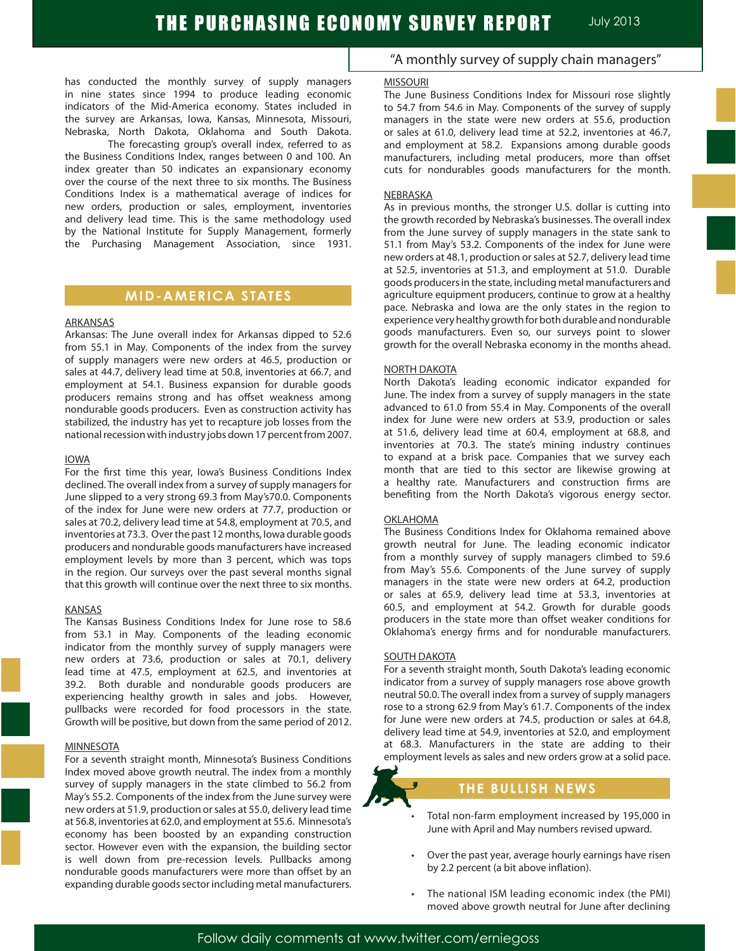has conducted the monthly survey of supply managers in nine states since 1994 to produce leading economic indicators of the Mid-America economy. States included in the survey are Arkansas, Iowa, Kansas, Minnesota, Missouri, Nebraska, North Dakota, Oklahoma and South Dakota.

The forecasting group's overall index, referred to as the Business Conditions Index, ranges between 0 and 100. An index greater than 50 indicates an expansionary economy over the course of the next three to six months. The Business Conditions Index is a mathematical average of indices for new orders, production or sales, employment, inventories and delivery lead time. This is the same methodology used by the National Institute for Supply Management, formerly the Purchasing Management Association, since 1931.

# **MID-AMERICA STATES**

#### ARKANSAS

Arkansas: The June overall index for Arkansas dipped to 52.6 from 55.1 in May. Components of the index from the survey of supply managers were new orders at 46.5, production or sales at 44.7, delivery lead time at 50.8, inventories at 66.7, and employment at 54.1. Business expansion for durable goods producers remains strong and has offset weakness among nondurable goods producers. Even as construction activity has stabilized, the industry has yet to recapture job losses from the national recession with industry jobs down 17 percent from 2007.

#### IOWA

For the first time this year, Iowa's Business Conditions Index declined. The overall index from a survey of supply managers for June slipped to a very strong 69.3 from May's70.0. Components of the index for June were new orders at 77.7, production or sales at 70.2, delivery lead time at 54.8, employment at 70.5, and inventories at 73.3. Over the past 12 months, Iowa durable goods producers and nondurable goods manufacturers have increased employment levels by more than 3 percent, which was tops in the region. Our surveys over the past several months signal that this growth will continue over the next three to six months.

#### KANSAS

The Kansas Business Conditions Index for June rose to 58.6 from 53.1 in May. Components of the leading economic indicator from the monthly survey of supply managers were new orders at 73.6, production or sales at 70.1, delivery lead time at 47.5, employment at 62.5, and inventories at 39.2. Both durable and nondurable goods producers are experiencing healthy growth in sales and jobs. However, pullbacks were recorded for food processors in the state. Growth will be positive, but down from the same period of 2012.

#### **MINNESOTA**

For a seventh straight month, Minnesota's Business Conditions Index moved above growth neutral. The index from a monthly survey of supply managers in the state climbed to 56.2 from May's 55.2. Components of the index from the June survey were new orders at 51.9, production or sales at 55.0, delivery lead time at 56.8, inventories at 62.0, and employment at 55.6. Minnesota's economy has been boosted by an expanding construction sector. However even with the expansion, the building sector is well down from pre-recession levels. Pullbacks among nondurable goods manufacturers were more than offset by an expanding durable goods sector including metal manufacturers.

# "A monthly survey of supply chain managers"

July 2013 THE PURCHASING ECONOMY SURVEY REPORT

#### MISSOURI

The June Business Conditions Index for Missouri rose slightly to 54.7 from 54.6 in May. Components of the survey of supply managers in the state were new orders at 55.6, production or sales at 61.0, delivery lead time at 52.2, inventories at 46.7, and employment at 58.2. Expansions among durable goods manufacturers, including metal producers, more than offset cuts for nondurables goods manufacturers for the month.

#### NEBRASKA

As in previous months, the stronger U.S. dollar is cutting into the growth recorded by Nebraska's businesses. The overall index from the June survey of supply managers in the state sank to 51.1 from May's 53.2. Components of the index for June were new orders at 48.1, production or sales at 52.7, delivery lead time at 52.5, inventories at 51.3, and employment at 51.0. Durable goods producers in the state, including metal manufacturers and agriculture equipment producers, continue to grow at a healthy pace. Nebraska and Iowa are the only states in the region to experience very healthy growth for both durable and nondurable goods manufacturers. Even so, our surveys point to slower growth for the overall Nebraska economy in the months ahead.

#### NORTH DAKOTA

North Dakota's leading economic indicator expanded for June. The index from a survey of supply managers in the state advanced to 61.0 from 55.4 in May. Components of the overall index for June were new orders at 53.9, production or sales at 51.6, delivery lead time at 60.4, employment at 68.8, and inventories at 70.3. The state's mining industry continues to expand at a brisk pace. Companies that we survey each month that are tied to this sector are likewise growing at a healthy rate. Manufacturers and construction firms are benefiting from the North Dakota's vigorous energy sector.

#### OKLAHOMA

The Business Conditions Index for Oklahoma remained above growth neutral for June. The leading economic indicator from a monthly survey of supply managers climbed to 59.6 from May's 55.6. Components of the June survey of supply managers in the state were new orders at 64.2, production or sales at 65.9, delivery lead time at 53.3, inventories at 60.5, and employment at 54.2. Growth for durable goods producers in the state more than offset weaker conditions for Oklahoma's energy firms and for nondurable manufacturers.

#### SOUTH DAKOTA

For a seventh straight month, South Dakota's leading economic indicator from a survey of supply managers rose above growth neutral 50.0. The overall index from a survey of supply managers rose to a strong 62.9 from May's 61.7. Components of the index for June were new orders at 74.5, production or sales at 64.8, delivery lead time at 54.9, inventories at 52.0, and employment at 68.3. Manufacturers in the state are adding to their employment levels as sales and new orders grow at a solid pace.

# **THE BULLISH NEWS**

- Total non-farm employment increased by 195,000 in June with April and May numbers revised upward.
- Over the past year, average hourly earnings have risen by 2.2 percent (a bit above inflation).
- The national ISM leading economic index (the PMI) moved above growth neutral for June after declining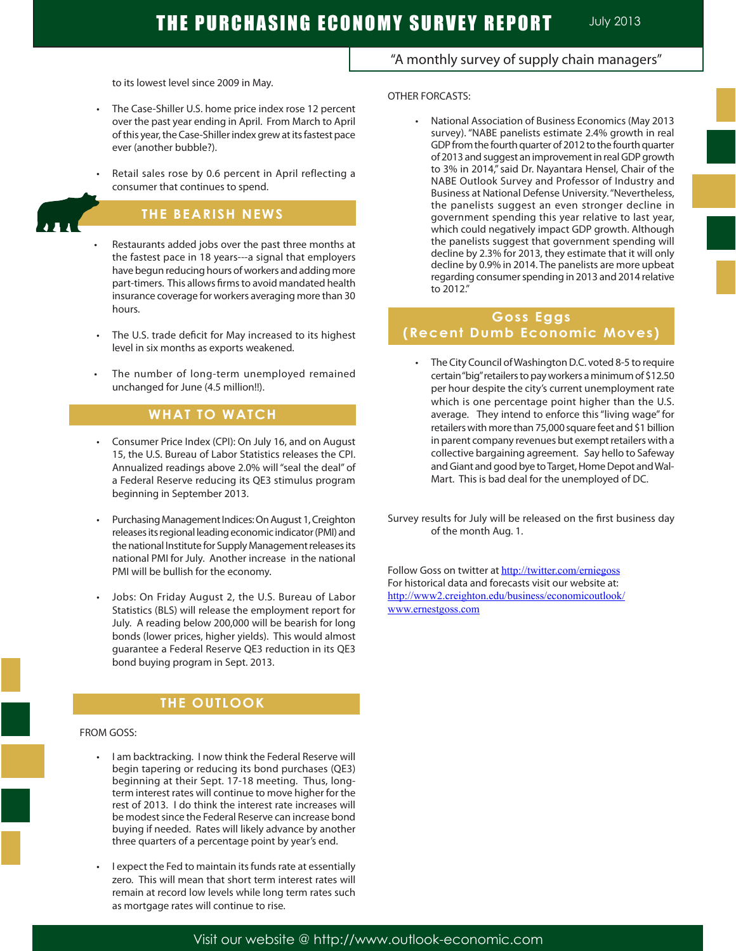# THE PURCHASING ECONOMY SURVEY REPORT MULTIPLED 2013

to its lowest level since 2009 in May.

- The Case-Shiller U.S. home price index rose 12 percent over the past year ending in April. From March to April of this year, the Case-Shiller index grew at its fastest pace ever (another bubble?).
- Retail sales rose by 0.6 percent in April reflecting a consumer that continues to spend.

# **THE BEARISH NEWS**

- Restaurants added jobs over the past three months at the fastest pace in 18 years---a signal that employers have begun reducing hours of workers and adding more part-timers. This allows firms to avoid mandated health insurance coverage for workers averaging more than 30 hours.
- The U.S. trade deficit for May increased to its highest level in six months as exports weakened.
- The number of long-term unemployed remained unchanged for June (4.5 million!!).

# **WHAT TO WATCH**

- Consumer Price Index (CPI): On July 16, and on August 15, the U.S. Bureau of Labor Statistics releases the CPI. Annualized readings above 2.0% will "seal the deal" of a Federal Reserve reducing its QE3 stimulus program beginning in September 2013.
- Purchasing Management Indices: On August 1, Creighton releases its regional leading economic indicator (PMI) and the national Institute for Supply Management releases its national PMI for July. Another increase in the national PMI will be bullish for the economy.
- Jobs: On Friday August 2, the U.S. Bureau of Labor Statistics (BLS) will release the employment report for July. A reading below 200,000 will be bearish for long bonds (lower prices, higher yields). This would almost guarantee a Federal Reserve QE3 reduction in its QE3 bond buying program in Sept. 2013.

# **THE OUTLOOK**

#### FROM GOSS:

Ĩ

- I am backtracking. I now think the Federal Reserve will begin tapering or reducing its bond purchases (QE3) beginning at their Sept. 17-18 meeting. Thus, longterm interest rates will continue to move higher for the rest of 2013. I do think the interest rate increases will be modest since the Federal Reserve can increase bond buying if needed. Rates will likely advance by another three quarters of a percentage point by year's end.
- I expect the Fed to maintain its funds rate at essentially zero. This will mean that short term interest rates will remain at record low levels while long term rates such as mortgage rates will continue to rise.

# "A monthly survey of supply chain managers"

#### OTHER FORCASTS:

 • National Association of Business Economics (May 2013 survey). "NABE panelists estimate 2.4% growth in real GDP from the fourth quarter of 2012 to the fourth quarter of 2013 and suggest an improvement in real GDP growth to 3% in 2014," said Dr. Nayantara Hensel, Chair of the NABE Outlook Survey and Professor of Industry and Business at National Defense University. "Nevertheless, the panelists suggest an even stronger decline in government spending this year relative to last year, which could negatively impact GDP growth. Although the panelists suggest that government spending will decline by 2.3% for 2013, they estimate that it will only decline by 0.9% in 2014. The panelists are more upbeat regarding consumer spending in 2013 and 2014 relative to 2012."

# **Goss Eggs (Recent Dumb Economic Moves)**

• The City Council of Washington D.C. voted 8-5 to require certain "big" retailers to pay workers a minimum of \$12.50 per hour despite the city's current unemployment rate which is one percentage point higher than the U.S. average. They intend to enforce this "living wage" for retailers with more than 75,000 square feet and \$1 billion in parent company revenues but exempt retailers with a collective bargaining agreement. Say hello to Safeway and Giant and good bye to Target, Home Depot and Wal-Mart. This is bad deal for the unemployed of DC.

Survey results for July will be released on the first business day of the month Aug. 1.

Follow Goss on twitter at http://twitter.com/erniegoss For historical data and forecasts visit our website at: http://www2.creighton.edu/business/economicoutlook/ www.ernestgoss.com